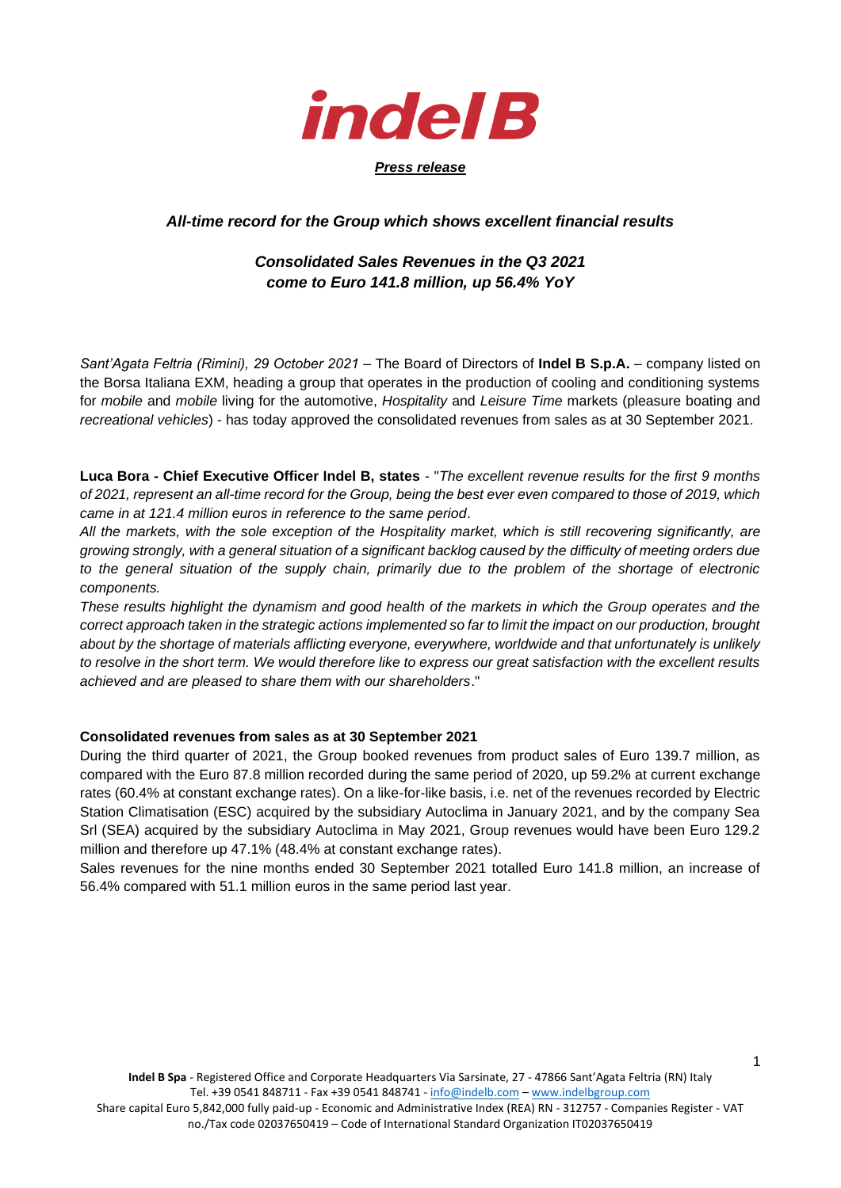

## *All-time record for the Group which shows excellent financial results*

## *Consolidated Sales Revenues in the Q3 2021 come to Euro 141.8 million, up 56.4% YoY*

*Sant'Agata Feltria (Rimini), 29 October 2021* – The Board of Directors of **Indel B S.p.A.** – company listed on the Borsa Italiana EXM, heading a group that operates in the production of cooling and conditioning systems for *mobile* and *mobile* living for the automotive, *Hospitality* and *Leisure Time* markets (pleasure boating and *recreational vehicles*) - has today approved the consolidated revenues from sales as at 30 September 2021.

**Luca Bora - Chief Executive Officer Indel B, states** - "*The excellent revenue results for the first 9 months of 2021, represent an all-time record for the Group, being the best ever even compared to those of 2019, which came in at 121.4 million euros in reference to the same period*.

*All the markets, with the sole exception of the Hospitality market, which is still recovering significantly, are growing strongly, with a general situation of a significant backlog caused by the difficulty of meeting orders due to the general situation of the supply chain, primarily due to the problem of the shortage of electronic components.*

*These results highlight the dynamism and good health of the markets in which the Group operates and the correct approach taken in the strategic actions implemented so far to limit the impact on our production, brought about by the shortage of materials afflicting everyone, everywhere, worldwide and that unfortunately is unlikely to resolve in the short term. We would therefore like to express our great satisfaction with the excellent results achieved and are pleased to share them with our shareholders*."

#### **Consolidated revenues from sales as at 30 September 2021**

During the third quarter of 2021, the Group booked revenues from product sales of Euro 139.7 million, as compared with the Euro 87.8 million recorded during the same period of 2020, up 59.2% at current exchange rates (60.4% at constant exchange rates). On a like-for-like basis, i.e. net of the revenues recorded by Electric Station Climatisation (ESC) acquired by the subsidiary Autoclima in January 2021, and by the company Sea Srl (SEA) acquired by the subsidiary Autoclima in May 2021, Group revenues would have been Euro 129.2 million and therefore up 47.1% (48.4% at constant exchange rates).

Sales revenues for the nine months ended 30 September 2021 totalled Euro 141.8 million, an increase of 56.4% compared with 51.1 million euros in the same period last year.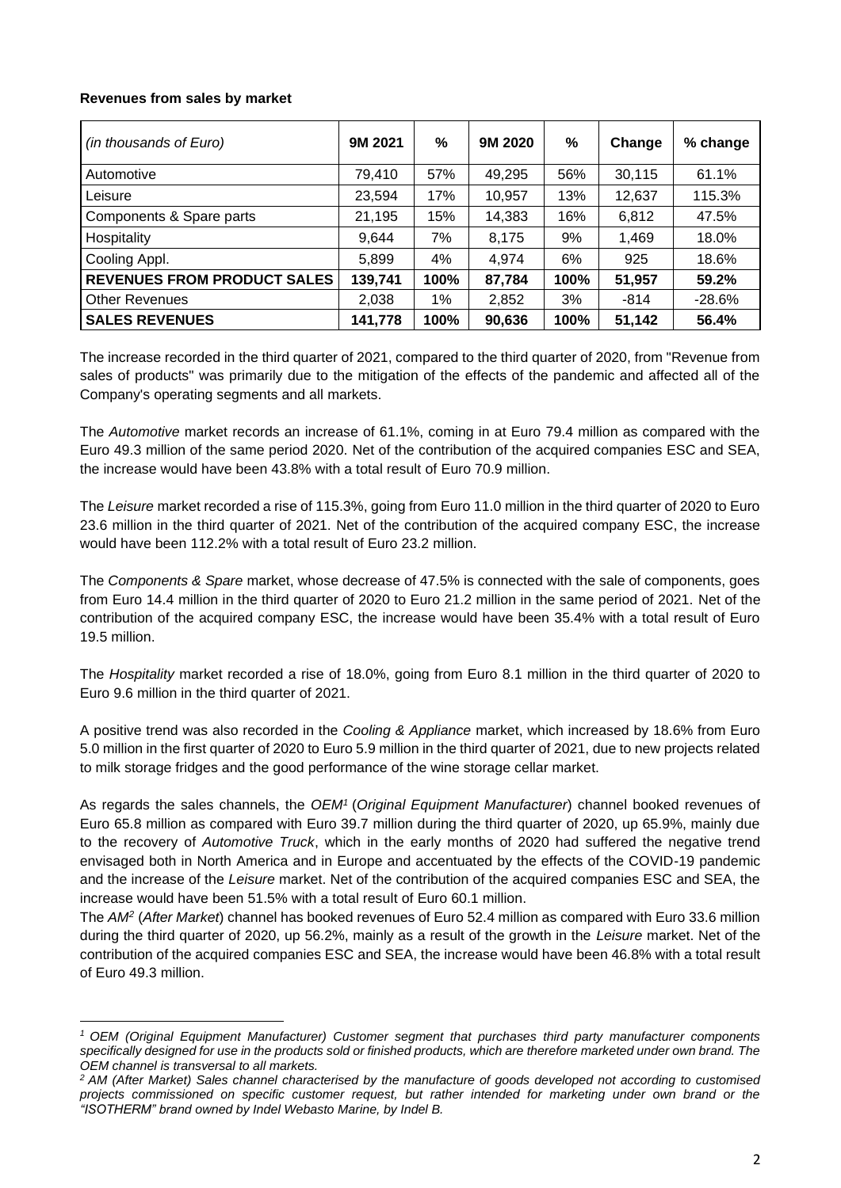### **Revenues from sales by market**

| (in thousands of Euro)             | 9M 2021 | $\%$ | 9M 2020 | %    | Change | % change |
|------------------------------------|---------|------|---------|------|--------|----------|
| Automotive                         | 79,410  | 57%  | 49,295  | 56%  | 30,115 | 61.1%    |
| Leisure                            | 23,594  | 17%  | 10,957  | 13%  | 12,637 | 115.3%   |
| Components & Spare parts           | 21,195  | 15%  | 14,383  | 16%  | 6,812  | 47.5%    |
| Hospitality                        | 9,644   | 7%   | 8,175   | 9%   | 1,469  | 18.0%    |
| Cooling Appl.                      | 5,899   | 4%   | 4,974   | 6%   | 925    | 18.6%    |
| <b>REVENUES FROM PRODUCT SALES</b> | 139,741 | 100% | 87,784  | 100% | 51,957 | 59.2%    |
| <b>Other Revenues</b>              | 2,038   | 1%   | 2,852   | 3%   | $-814$ | $-28.6%$ |
| <b>SALES REVENUES</b>              | 141,778 | 100% | 90,636  | 100% | 51,142 | 56.4%    |

The increase recorded in the third quarter of 2021, compared to the third quarter of 2020, from "Revenue from sales of products" was primarily due to the mitigation of the effects of the pandemic and affected all of the Company's operating segments and all markets.

The *Automotive* market records an increase of 61.1%, coming in at Euro 79.4 million as compared with the Euro 49.3 million of the same period 2020. Net of the contribution of the acquired companies ESC and SEA, the increase would have been 43.8% with a total result of Euro 70.9 million.

The *Leisure* market recorded a rise of 115.3%, going from Euro 11.0 million in the third quarter of 2020 to Euro 23.6 million in the third quarter of 2021. Net of the contribution of the acquired company ESC, the increase would have been 112.2% with a total result of Euro 23.2 million.

The *Components & Spare* market, whose decrease of 47.5% is connected with the sale of components, goes from Euro 14.4 million in the third quarter of 2020 to Euro 21.2 million in the same period of 2021. Net of the contribution of the acquired company ESC, the increase would have been 35.4% with a total result of Euro 19.5 million.

The *Hospitality* market recorded a rise of 18.0%, going from Euro 8.1 million in the third quarter of 2020 to Euro 9.6 million in the third quarter of 2021.

A positive trend was also recorded in the *Cooling & Appliance* market, which increased by 18.6% from Euro 5.0 million in the first quarter of 2020 to Euro 5.9 million in the third quarter of 2021, due to new projects related to milk storage fridges and the good performance of the wine storage cellar market.

As regards the sales channels, the *OEM<sup>1</sup>* (*Original Equipment Manufacturer*) channel booked revenues of Euro 65.8 million as compared with Euro 39.7 million during the third quarter of 2020, up 65.9%, mainly due to the recovery of *Automotive Truck*, which in the early months of 2020 had suffered the negative trend envisaged both in North America and in Europe and accentuated by the effects of the COVID-19 pandemic and the increase of the *Leisure* market. Net of the contribution of the acquired companies ESC and SEA, the increase would have been 51.5% with a total result of Euro 60.1 million.

The *AM<sup>2</sup>* (*After Market*) channel has booked revenues of Euro 52.4 million as compared with Euro 33.6 million during the third quarter of 2020, up 56.2%, mainly as a result of the growth in the *Leisure* market. Net of the contribution of the acquired companies ESC and SEA, the increase would have been 46.8% with a total result of Euro 49.3 million.

*<sup>1</sup> OEM (Original Equipment Manufacturer) Customer segment that purchases third party manufacturer components specifically designed for use in the products sold or finished products, which are therefore marketed under own brand. The OEM channel is transversal to all markets.* 

*<sup>2</sup> AM (After Market) Sales channel characterised by the manufacture of goods developed not according to customised projects commissioned on specific customer request, but rather intended for marketing under own brand or the "ISOTHERM" brand owned by Indel Webasto Marine, by Indel B.*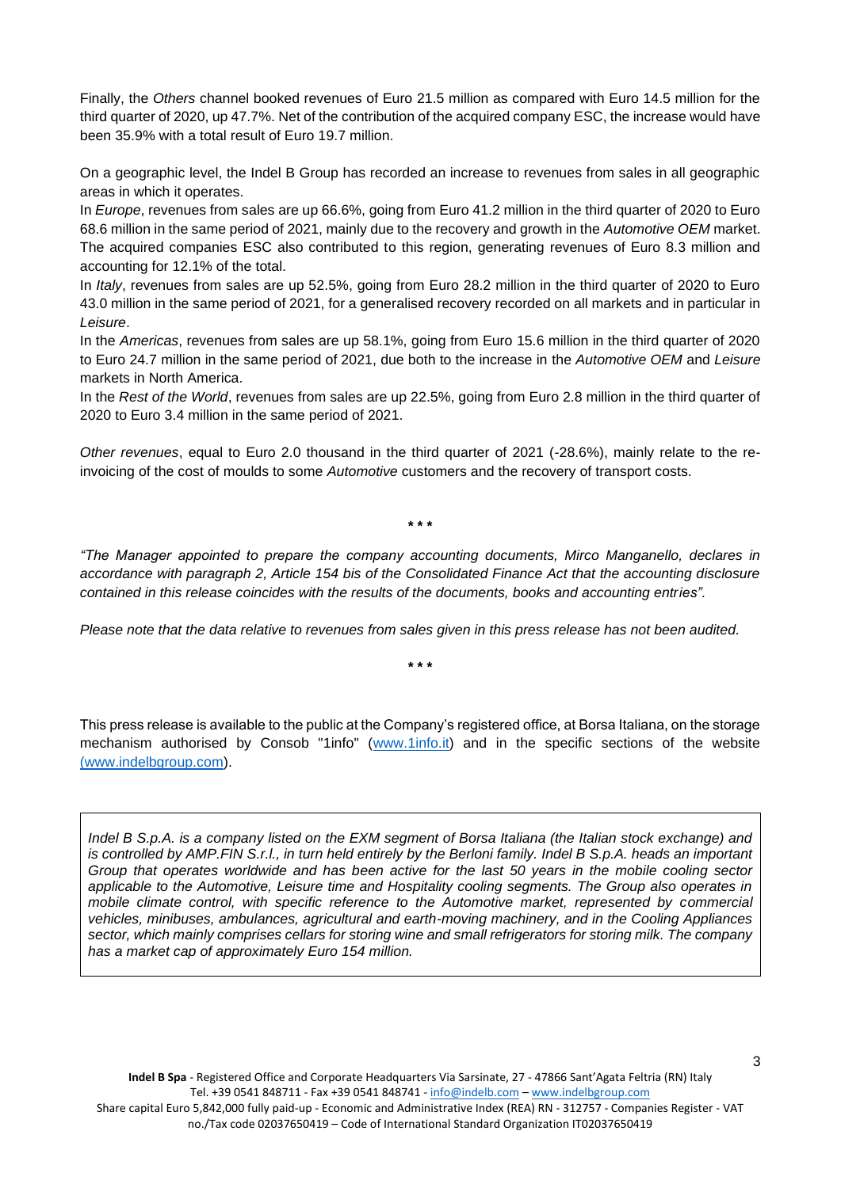Finally, the *Others* channel booked revenues of Euro 21.5 million as compared with Euro 14.5 million for the third quarter of 2020, up 47.7%. Net of the contribution of the acquired company ESC, the increase would have been 35.9% with a total result of Euro 19.7 million.

On a geographic level, the Indel B Group has recorded an increase to revenues from sales in all geographic areas in which it operates.

In *Europe*, revenues from sales are up 66.6%, going from Euro 41.2 million in the third quarter of 2020 to Euro 68.6 million in the same period of 2021, mainly due to the recovery and growth in the *Automotive OEM* market. The acquired companies ESC also contributed to this region, generating revenues of Euro 8.3 million and accounting for 12.1% of the total.

In *Italy*, revenues from sales are up 52.5%, going from Euro 28.2 million in the third quarter of 2020 to Euro 43.0 million in the same period of 2021, for a generalised recovery recorded on all markets and in particular in *Leisure*.

In the *Americas*, revenues from sales are up 58.1%, going from Euro 15.6 million in the third quarter of 2020 to Euro 24.7 million in the same period of 2021, due both to the increase in the *Automotive OEM* and *Leisure* markets in North America.

In the *Rest of the World*, revenues from sales are up 22.5%, going from Euro 2.8 million in the third quarter of 2020 to Euro 3.4 million in the same period of 2021.

*Other revenues*, equal to Euro 2.0 thousand in the third quarter of 2021 (-28.6%), mainly relate to the reinvoicing of the cost of moulds to some *Automotive* customers and the recovery of transport costs.

**\* \* \***

*"The Manager appointed to prepare the company accounting documents, Mirco Manganello, declares in accordance with paragraph 2, Article 154 bis of the Consolidated Finance Act that the accounting disclosure contained in this release coincides with the results of the documents, books and accounting entries".*

*Please note that the data relative to revenues from sales given in this press release has not been audited.* 

**\* \* \***

This press release is available to the public at the Company's registered office, at Borsa Italiana, on the storage mechanism authorised by Consob "1info" [\(www.1info.it\)](http://www.1info.it/) and in the specific sections of the website [\(www.indelbgroup.com\)](http://www.indelbgroup.com/).

*Indel B S.p.A. is a company listed on the EXM segment of Borsa Italiana (the Italian stock exchange) and is controlled by AMP.FIN S.r.l., in turn held entirely by the Berloni family. Indel B S.p.A. heads an important Group that operates worldwide and has been active for the last 50 years in the mobile cooling sector applicable to the Automotive, Leisure time and Hospitality cooling segments. The Group also operates in*  mobile climate control, with specific reference to the Automotive market, represented by commercial *vehicles, minibuses, ambulances, agricultural and earth-moving machinery, and in the Cooling Appliances sector, which mainly comprises cellars for storing wine and small refrigerators for storing milk. The company has a market cap of approximately Euro 154 million.*